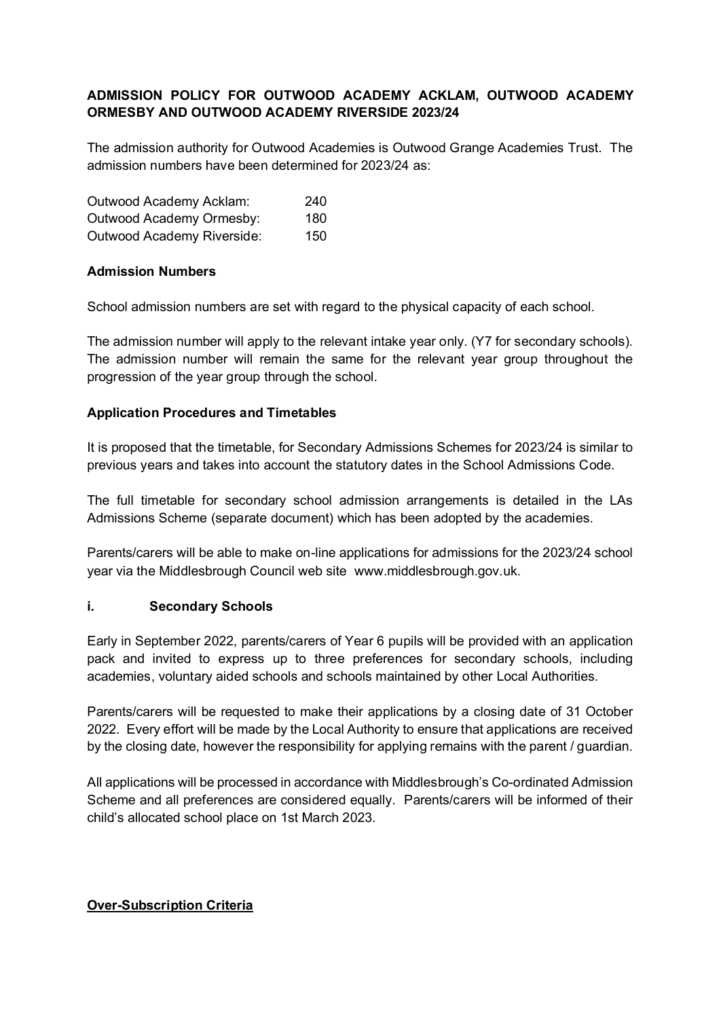# **ADMISSION POLICY FOR OUTWOOD ACADEMY ACKLAM, OUTWOOD ACADEMY ORMESBY AND OUTWOOD ACADEMY RIVERSIDE 2023/24**

The admission authority for Outwood Academies is Outwood Grange Academies Trust. The admission numbers have been determined for 2023/24 as:

| Outwood Academy Acklam:    | 240  |  |
|----------------------------|------|--|
| Outwood Academy Ormesby:   | 180. |  |
| Outwood Academy Riverside: | 150  |  |

### **Admission Numbers**

School admission numbers are set with regard to the physical capacity of each school.

The admission number will apply to the relevant intake year only. (Y7 for secondary schools). The admission number will remain the same for the relevant year group throughout the progression of the year group through the school.

## **Application Procedures and Timetables**

It is proposed that the timetable, for Secondary Admissions Schemes for 2023/24 is similar to previous years and takes into account the statutory dates in the School Admissions Code.

The full timetable for secondary school admission arrangements is detailed in the LAs Admissions Scheme (separate document) which has been adopted by the academies.

Parents/carers will be able to make on-line applications for admissions for the 2023/24 school year via the Middlesbrough Council web site www.middlesbrough.gov.uk.

### **i. Secondary Schools**

Early in September 2022, parents/carers of Year 6 pupils will be provided with an application pack and invited to express up to three preferences for secondary schools, including academies, voluntary aided schools and schools maintained by other Local Authorities.

Parents/carers will be requested to make their applications by a closing date of 31 October 2022. Every effort will be made by the Local Authority to ensure that applications are received by the closing date, however the responsibility for applying remains with the parent / guardian.

All applications will be processed in accordance with Middlesbrough's Co-ordinated Admission Scheme and all preferences are considered equally. Parents/carers will be informed of their child's allocated school place on 1st March 2023.

### **Over-Subscription Criteria**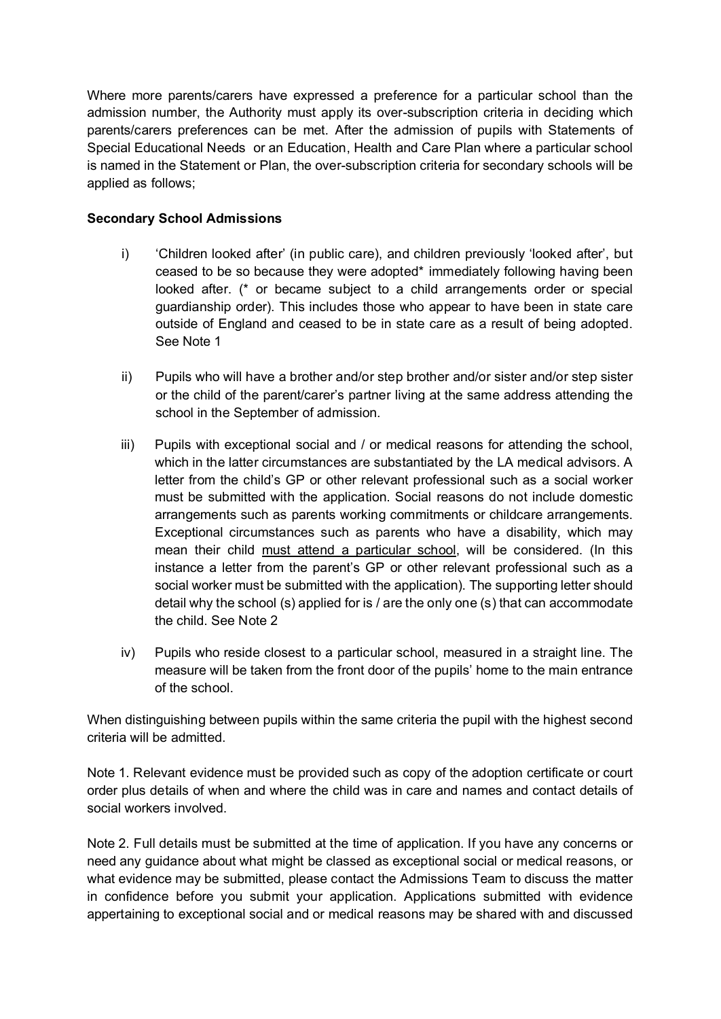Where more parents/carers have expressed a preference for a particular school than the admission number, the Authority must apply its over-subscription criteria in deciding which parents/carers preferences can be met. After the admission of pupils with Statements of Special Educational Needs or an Education, Health and Care Plan where a particular school is named in the Statement or Plan, the over-subscription criteria for secondary schools will be applied as follows;

### **Secondary School Admissions**

- i) 'Children looked after' (in public care), and children previously 'looked after', but ceased to be so because they were adopted\* immediately following having been looked after. (\* or became subject to a child arrangements order or special guardianship order). This includes those who appear to have been in state care outside of England and ceased to be in state care as a result of being adopted. See Note 1
- ii) Pupils who will have a brother and/or step brother and/or sister and/or step sister or the child of the parent/carer's partner living at the same address attending the school in the September of admission.
- iii) Pupils with exceptional social and / or medical reasons for attending the school, which in the latter circumstances are substantiated by the LA medical advisors. A letter from the child's GP or other relevant professional such as a social worker must be submitted with the application. Social reasons do not include domestic arrangements such as parents working commitments or childcare arrangements. Exceptional circumstances such as parents who have a disability, which may mean their child must attend a particular school, will be considered. (In this instance a letter from the parent's GP or other relevant professional such as a social worker must be submitted with the application). The supporting letter should detail why the school (s) applied for is / are the only one (s) that can accommodate the child. See Note 2
- iv) Pupils who reside closest to a particular school, measured in a straight line. The measure will be taken from the front door of the pupils' home to the main entrance of the school.

When distinguishing between pupils within the same criteria the pupil with the highest second criteria will be admitted.

Note 1. Relevant evidence must be provided such as copy of the adoption certificate or court order plus details of when and where the child was in care and names and contact details of social workers involved.

Note 2. Full details must be submitted at the time of application. If you have any concerns or need any guidance about what might be classed as exceptional social or medical reasons, or what evidence may be submitted, please contact the Admissions Team to discuss the matter in confidence before you submit your application. Applications submitted with evidence appertaining to exceptional social and or medical reasons may be shared with and discussed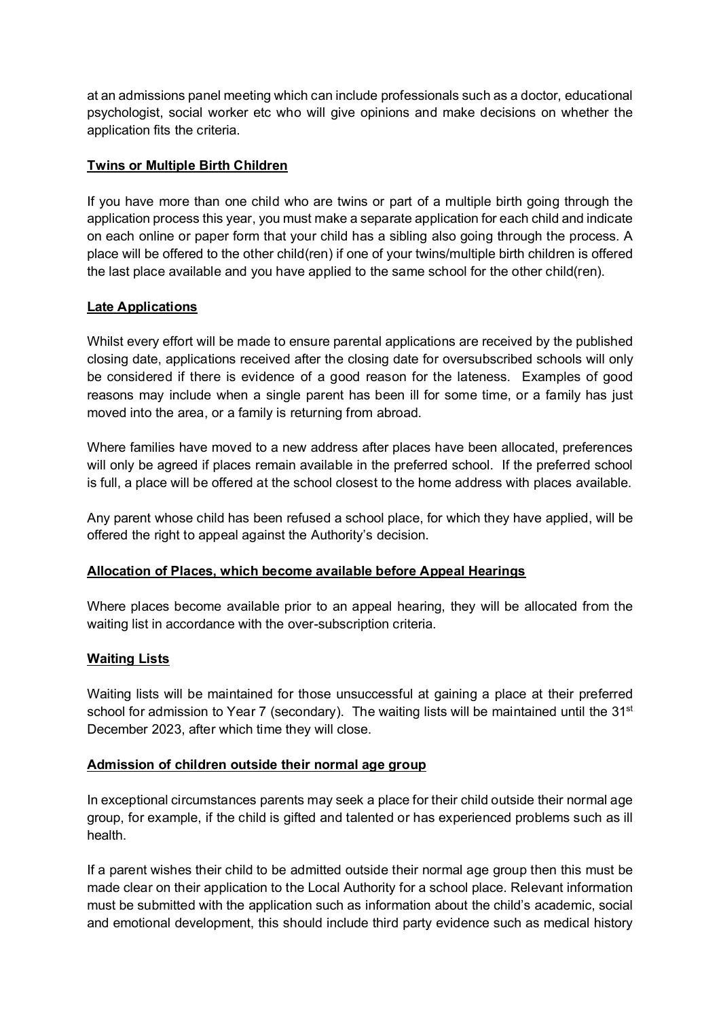at an admissions panel meeting which can include professionals such as a doctor, educational psychologist, social worker etc who will give opinions and make decisions on whether the application fits the criteria.

## **Twins or Multiple Birth Children**

If you have more than one child who are twins or part of a multiple birth going through the application process this year, you must make a separate application for each child and indicate on each online or paper form that your child has a sibling also going through the process. A place will be offered to the other child(ren) if one of your twins/multiple birth children is offered the last place available and you have applied to the same school for the other child(ren).

## **Late Applications**

Whilst every effort will be made to ensure parental applications are received by the published closing date, applications received after the closing date for oversubscribed schools will only be considered if there is evidence of a good reason for the lateness. Examples of good reasons may include when a single parent has been ill for some time, or a family has just moved into the area, or a family is returning from abroad.

Where families have moved to a new address after places have been allocated, preferences will only be agreed if places remain available in the preferred school. If the preferred school is full, a place will be offered at the school closest to the home address with places available.

Any parent whose child has been refused a school place, for which they have applied, will be offered the right to appeal against the Authority's decision.

### **Allocation of Places, which become available before Appeal Hearings**

Where places become available prior to an appeal hearing, they will be allocated from the waiting list in accordance with the over-subscription criteria.

### **Waiting Lists**

Waiting lists will be maintained for those unsuccessful at gaining a place at their preferred school for admission to Year 7 (secondary). The waiting lists will be maintained until the 31<sup>st</sup> December 2023, after which time they will close.

### **Admission of children outside their normal age group**

In exceptional circumstances parents may seek a place for their child outside their normal age group, for example, if the child is gifted and talented or has experienced problems such as ill health.

If a parent wishes their child to be admitted outside their normal age group then this must be made clear on their application to the Local Authority for a school place. Relevant information must be submitted with the application such as information about the child's academic, social and emotional development, this should include third party evidence such as medical history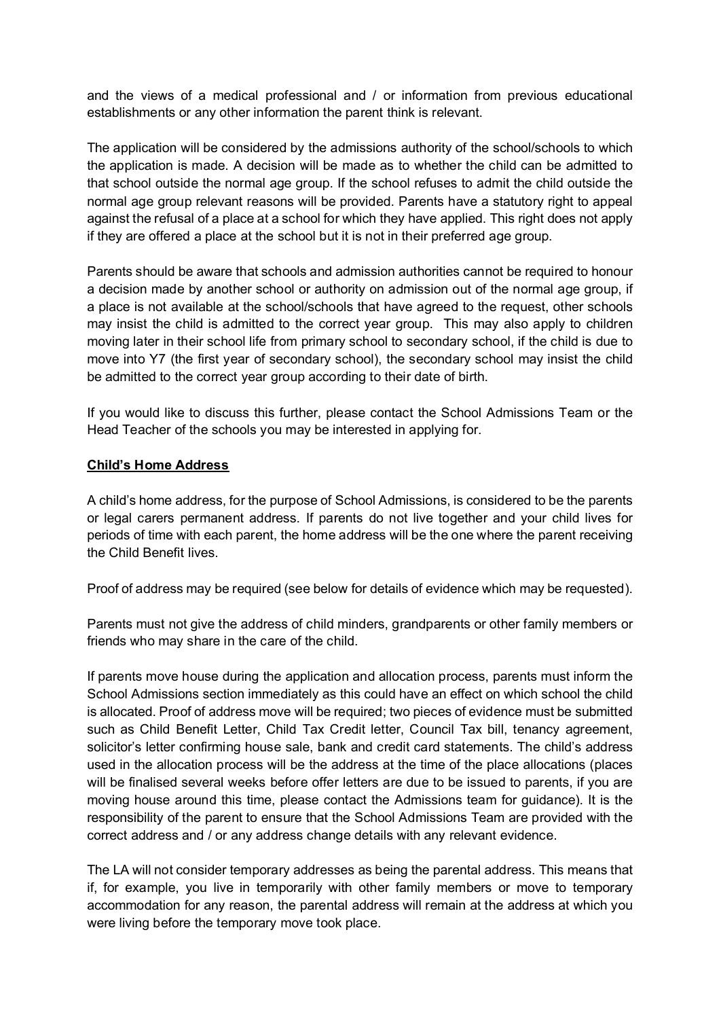and the views of a medical professional and / or information from previous educational establishments or any other information the parent think is relevant.

The application will be considered by the admissions authority of the school/schools to which the application is made. A decision will be made as to whether the child can be admitted to that school outside the normal age group. If the school refuses to admit the child outside the normal age group relevant reasons will be provided. Parents have a statutory right to appeal against the refusal of a place at a school for which they have applied. This right does not apply if they are offered a place at the school but it is not in their preferred age group.

Parents should be aware that schools and admission authorities cannot be required to honour a decision made by another school or authority on admission out of the normal age group, if a place is not available at the school/schools that have agreed to the request, other schools may insist the child is admitted to the correct year group. This may also apply to children moving later in their school life from primary school to secondary school, if the child is due to move into Y7 (the first year of secondary school), the secondary school may insist the child be admitted to the correct year group according to their date of birth.

If you would like to discuss this further, please contact the School Admissions Team or the Head Teacher of the schools you may be interested in applying for.

## **Child's Home Address**

A child's home address, for the purpose of School Admissions, is considered to be the parents or legal carers permanent address. If parents do not live together and your child lives for periods of time with each parent, the home address will be the one where the parent receiving the Child Benefit lives.

Proof of address may be required (see below for details of evidence which may be requested).

Parents must not give the address of child minders, grandparents or other family members or friends who may share in the care of the child.

If parents move house during the application and allocation process, parents must inform the School Admissions section immediately as this could have an effect on which school the child is allocated. Proof of address move will be required; two pieces of evidence must be submitted such as Child Benefit Letter, Child Tax Credit letter, Council Tax bill, tenancy agreement, solicitor's letter confirming house sale, bank and credit card statements. The child's address used in the allocation process will be the address at the time of the place allocations (places will be finalised several weeks before offer letters are due to be issued to parents, if you are moving house around this time, please contact the Admissions team for guidance). It is the responsibility of the parent to ensure that the School Admissions Team are provided with the correct address and / or any address change details with any relevant evidence.

The LA will not consider temporary addresses as being the parental address. This means that if, for example, you live in temporarily with other family members or move to temporary accommodation for any reason, the parental address will remain at the address at which you were living before the temporary move took place.